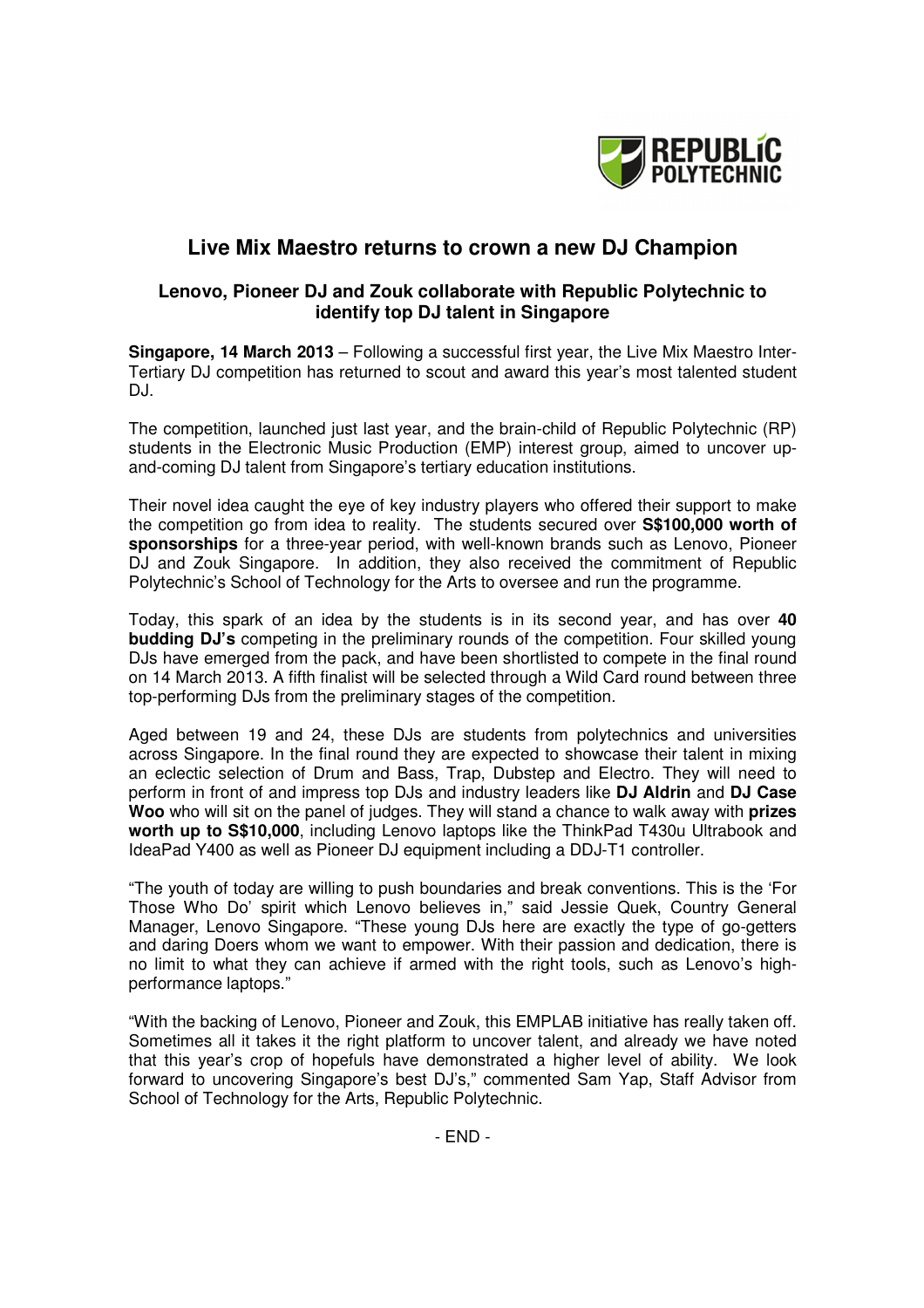

## **Live Mix Maestro returns to crown a new DJ Champion**

## **Lenovo, Pioneer DJ and Zouk collaborate with Republic Polytechnic to identify top DJ talent in Singapore**

**Singapore, 14 March 2013** – Following a successful first year, the Live Mix Maestro Inter-Tertiary DJ competition has returned to scout and award this year's most talented student DJ.

The competition, launched just last year, and the brain-child of Republic Polytechnic (RP) students in the Electronic Music Production (EMP) interest group, aimed to uncover upand-coming DJ talent from Singapore's tertiary education institutions.

Their novel idea caught the eye of key industry players who offered their support to make the competition go from idea to reality. The students secured over **S\$100,000 worth of sponsorships** for a three-year period, with well-known brands such as Lenovo, Pioneer DJ and Zouk Singapore. In addition, they also received the commitment of Republic Polytechnic's School of Technology for the Arts to oversee and run the programme.

Today, this spark of an idea by the students is in its second year, and has over **40 budding DJ's** competing in the preliminary rounds of the competition. Four skilled young DJs have emerged from the pack, and have been shortlisted to compete in the final round on 14 March 2013. A fifth finalist will be selected through a Wild Card round between three top-performing DJs from the preliminary stages of the competition.

Aged between 19 and 24, these DJs are students from polytechnics and universities across Singapore. In the final round they are expected to showcase their talent in mixing an eclectic selection of Drum and Bass, Trap, Dubstep and Electro. They will need to perform in front of and impress top DJs and industry leaders like **DJ Aldrin** and **DJ Case Woo** who will sit on the panel of judges. They will stand a chance to walk away with **prizes worth up to S\$10,000**, including Lenovo laptops like the ThinkPad T430u Ultrabook and IdeaPad Y400 as well as Pioneer DJ equipment including a DDJ-T1 controller.

"The youth of today are willing to push boundaries and break conventions. This is the 'For Those Who Do' spirit which Lenovo believes in," said Jessie Quek, Country General Manager, Lenovo Singapore. "These young DJs here are exactly the type of go-getters and daring Doers whom we want to empower. With their passion and dedication, there is no limit to what they can achieve if armed with the right tools, such as Lenovo's highperformance laptops."

"With the backing of Lenovo, Pioneer and Zouk, this EMPLAB initiative has really taken off. Sometimes all it takes it the right platform to uncover talent, and already we have noted that this year's crop of hopefuls have demonstrated a higher level of ability. We look forward to uncovering Singapore's best DJ's," commented Sam Yap, Staff Advisor from School of Technology for the Arts, Republic Polytechnic.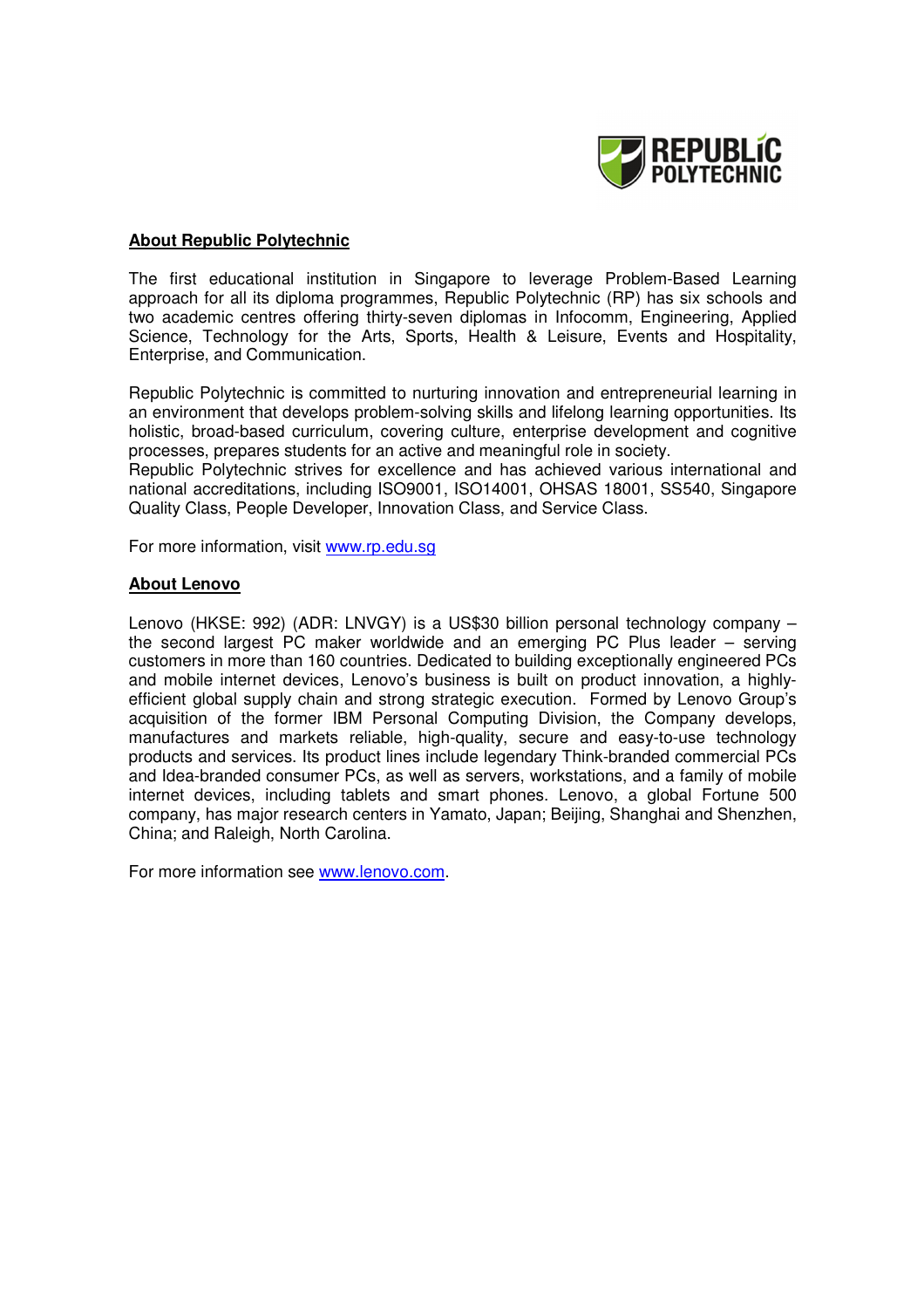

## **About Republic Polytechnic**

The first educational institution in Singapore to leverage Problem-Based Learning approach for all its diploma programmes, Republic Polytechnic (RP) has six schools and two academic centres offering thirty-seven diplomas in Infocomm, Engineering, Applied Science, Technology for the Arts, Sports, Health & Leisure, Events and Hospitality, Enterprise, and Communication.

Republic Polytechnic is committed to nurturing innovation and entrepreneurial learning in an environment that develops problem-solving skills and lifelong learning opportunities. Its holistic, broad-based curriculum, covering culture, enterprise development and cognitive processes, prepares students for an active and meaningful role in society.

Republic Polytechnic strives for excellence and has achieved various international and national accreditations, including ISO9001, ISO14001, OHSAS 18001, SS540, Singapore Quality Class, People Developer, Innovation Class, and Service Class.

For more information, visit www.rp.edu.sg

## **About Lenovo**

Lenovo (HKSE: 992) (ADR: LNVGY) is a US\$30 billion personal technology company – the second largest PC maker worldwide and an emerging PC Plus leader – serving customers in more than 160 countries. Dedicated to building exceptionally engineered PCs and mobile internet devices, Lenovo's business is built on product innovation, a highlyefficient global supply chain and strong strategic execution. Formed by Lenovo Group's acquisition of the former IBM Personal Computing Division, the Company develops, manufactures and markets reliable, high-quality, secure and easy-to-use technology products and services. Its product lines include legendary Think-branded commercial PCs and Idea-branded consumer PCs, as well as servers, workstations, and a family of mobile internet devices, including tablets and smart phones. Lenovo, a global Fortune 500 company, has major research centers in Yamato, Japan; Beijing, Shanghai and Shenzhen, China; and Raleigh, North Carolina.

For more information see www.lenovo.com.